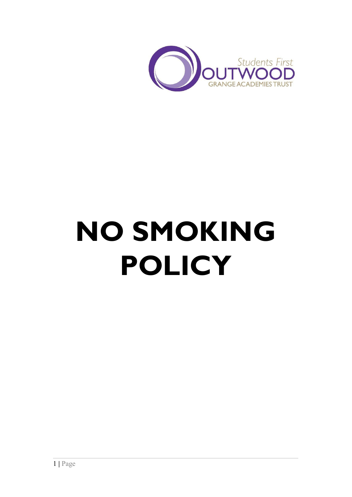

# **NO SMOKING POLICY**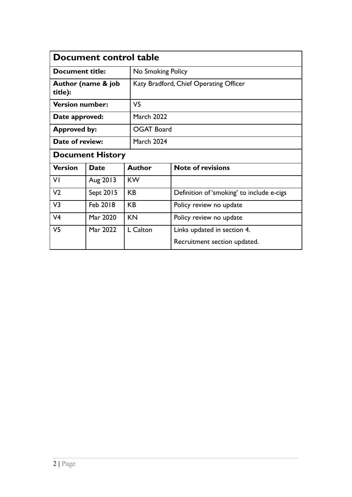| Document control table                   |                   |                                                             |
|------------------------------------------|-------------------|-------------------------------------------------------------|
| Document title:                          | No Smoking Policy |                                                             |
| Author (name & job<br>title):            |                   | Katy Bradford, Chief Operating Officer                      |
| <b>Version number:</b><br>V5             |                   |                                                             |
| <b>March 2022</b><br>Date approved:      |                   |                                                             |
| <b>OGAT Board</b><br><b>Approved by:</b> |                   |                                                             |
| Date of review:<br>March 2024            |                   |                                                             |
| <b>Document History</b>                  |                   |                                                             |
| Date                                     | <b>Author</b>     | <b>Note of revisions</b>                                    |
| Aug 2013                                 | <b>KW</b>         |                                                             |
| Sept 2015                                | <b>KB</b>         | Definition of 'smoking' to include e-cigs                   |
| Feb 2018                                 | <b>KB</b>         | Policy review no update                                     |
| Mar 2020                                 | <b>KN</b>         | Policy review no update                                     |
| Mar 2022                                 | L Calton          | Links updated in section 4.<br>Recruitment section updated. |
|                                          |                   |                                                             |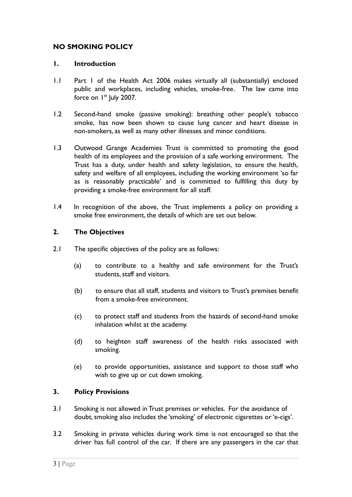## **NO SMOKING POLICY**

#### **1. Introduction**

- 1.1 Part 1 of the Health Act 2006 makes virtually all (substantially) enclosed public and workplaces, including vehicles, smoke-free. The law came into force on 1<sup>st</sup> July 2007.
- 1.2 Second-hand smoke (passive smoking): breathing other people's tobacco smoke, has now been shown to cause lung cancer and heart disease in non-smokers, as well as many other illnesses and minor conditions.
- 1.3 Outwood Grange Academies Trust is committed to promoting the good health of its employees and the provision of a safe working environment. The Trust has a duty, under health and safety legislation, to ensure the health, safety and welfare of all employees, including the working environment 'so far as is reasonably practicable' and is committed to fulfilling this duty by providing a smoke-free environment for all staff.
- 1.4 In recognition of the above, the Trust implements a policy on providing a smoke free environment, the details of which are set out below.

## **2. The Objectives**

- 2.1 The specific objectives of the policy are as follows:
	- (a) to contribute to a healthy and safe environment for the Trust's students, staff and visitors.
	- (b) to ensure that all staff, students and visitors to Trust's premises benefit from a smoke-free environment.
	- (c) to protect staff and students from the hazards of second-hand smoke inhalation whilst at the academy.
	- (d) to heighten staff awareness of the health risks associated with smoking.
	- (e) to provide opportunities, assistance and support to those staff who wish to give up or cut down smoking.

#### **3. Policy Provisions**

- 3.1 Smoking is not allowed in Trust premises or vehicles. For the avoidance of doubt, smoking also includes the 'smoking' of electronic cigarettes or 'e-cigs'.
- 3.2 Smoking in private vehicles during work time is not encouraged so that the driver has full control of the car. If there are any passengers in the car that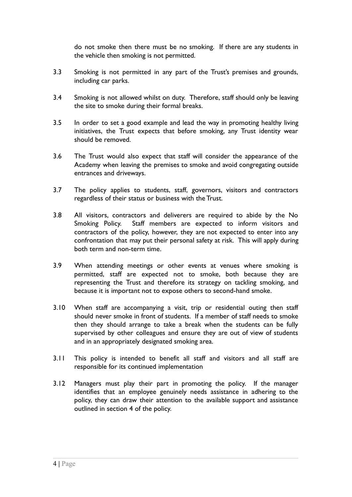do not smoke then there must be no smoking. If there are any students in the vehicle then smoking is not permitted.

- 3.3 Smoking is not permitted in any part of the Trust's premises and grounds, including car parks.
- 3.4 Smoking is not allowed whilst on duty. Therefore, staff should only be leaving the site to smoke during their formal breaks.
- 3.5 In order to set a good example and lead the way in promoting healthy living initiatives, the Trust expects that before smoking, any Trust identity wear should be removed.
- 3.6 The Trust would also expect that staff will consider the appearance of the Academy when leaving the premises to smoke and avoid congregating outside entrances and driveways.
- 3.7 The policy applies to students, staff, governors, visitors and contractors regardless of their status or business with the Trust.
- 3.8 All visitors, contractors and deliverers are required to abide by the No Smoking Policy. Staff members are expected to inform visitors and contractors of the policy, however, they are not expected to enter into any confrontation that may put their personal safety at risk. This will apply during both term and non-term time.
- 3.9 When attending meetings or other events at venues where smoking is permitted, staff are expected not to smoke, both because they are representing the Trust and therefore its strategy on tackling smoking, and because it is important not to expose others to second-hand smoke.
- 3.10 When staff are accompanying a visit, trip or residential outing then staff should never smoke in front of students. If a member of staff needs to smoke then they should arrange to take a break when the students can be fully supervised by other colleagues and ensure they are out of view of students and in an appropriately designated smoking area.
- 3.11 This policy is intended to benefit all staff and visitors and all staff are responsible for its continued implementation
- 3.12 Managers must play their part in promoting the policy. If the manager identifies that an employee genuinely needs assistance in adhering to the policy, they can draw their attention to the available support and assistance outlined in section 4 of the policy.